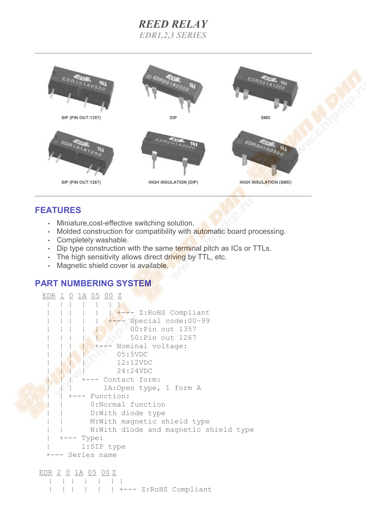# *REED RELAY EDR1,2,3 SERIES*



## **FEATURES**

- Miniature,cost-effective switching solution.
- Molded construction for compatibility with automatic board processing.
- Completely washable.
- Dip type construction with the same terminal pitch as ICs or TTLs.
- The high sensitivity allows direct driving by TTL, etc.
- Magnetic shield cover is available.

## **PART NUMBERING SYSTEM**

```
 EDR 1 0 1A 05 00 Z
     | | | | | | |
                | +--- Z:RoHS Compliant
       | | | | | +--- Special code:00~99
                     00: Pin out 1357
       | | | | | 50:Pin out 1267
             +--- Nominal voltage:
     | | | | 05:5VDC
     | | | | 12:12VDC
                   | | | | 24:24VDC
          | | | +--- Contact form:
               1A: Open type, 1 form A
       | | +--- Function:
           0:Normal function
           D: With diode type
           M: With magnetic shield type
           N: With diode and magnetic shield type
       - Type:
          | 1:SIP type
  +--- Series name
```
EDR 2 0 1A 05 00 Z | | | | | | | | | | | | | +--- Z:RoHS Compliant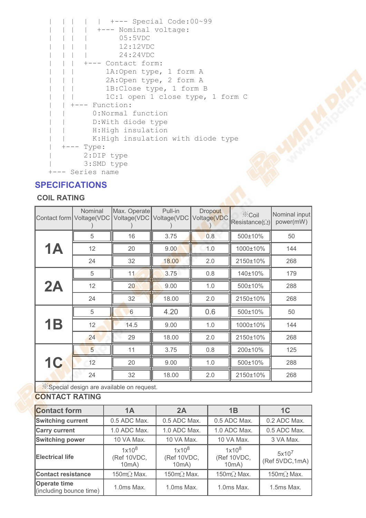```
 | | | | | +--- Special Code:00~99
 | | | | +--- Nominal voltage:
 | | | | 05:5VDC
 | | | | 12:12VDC
 | | | | 24:24VDC
 | | | +--- Contact form:
| | | 1A: Open type, 1 form A
| | | 2A: Open type, 2 form A
 | | | 1B:Close type, 1 form B
| | | 1C:1 open 1 close type, 1 form C
 | | +--- Function:
 | | 0:Normal function
 | | D:With diode type
 | | H:High insulation
 | | K:High insulation with diode type
 | +--- Type:
 | 2:DIP type
 | 3:SMD type
 +--- Series name
```
### **SPECIFICATIONS**

#### **COIL RATING**

|                                           | Nominal<br>Contact form   Voltage(VDC | Max. Operate<br>Voltage(VDC | Pull-in<br>Voltage(VDC | Dropout<br>Voltage(VDC | i≪Coil<br>Resistance( $\Omega$ ) | Nominal input<br>power(mW) |  |  |
|-------------------------------------------|---------------------------------------|-----------------------------|------------------------|------------------------|----------------------------------|----------------------------|--|--|
| <b>1A</b>                                 | 5                                     | 16                          | 3.75                   | 0.8                    | 500±10%                          | 50                         |  |  |
|                                           | 12                                    | 20                          | 9.00                   | 1.0                    | 1000±10%                         | 144                        |  |  |
|                                           | 24                                    | 32                          | 18.00                  | 2.0                    | 2150±10%                         | 268                        |  |  |
| 2A                                        | 5                                     | 11                          | 3.75                   | 0.8                    | 140±10%                          | 179                        |  |  |
|                                           | 12                                    | 20                          | 9.00                   | 1.0                    | 500±10%                          | 288                        |  |  |
|                                           | 24                                    | 32                          | 18.00                  | 2.0                    | 2150±10%                         | 268                        |  |  |
| <b>1B</b>                                 | 5                                     | 6                           | 4.20                   | 0.6                    | 500±10%                          | 50                         |  |  |
|                                           | 12                                    | 14.5                        | 9.00                   | 1.0                    | 1000±10%                         | 144                        |  |  |
|                                           | 24                                    | 29                          | 18.00                  | 2.0                    | 2150±10%                         | 268                        |  |  |
| <b>1C</b>                                 | 5                                     | 11                          | 3.75                   | 0.8                    | 200±10%                          | 125                        |  |  |
|                                           | 12                                    | 20                          | 9.00                   | 1.0                    | 500±10%                          | 288                        |  |  |
|                                           | 24                                    | 32                          | 18.00                  | 2.0                    | 2150±10%                         | 268                        |  |  |
| X Snecial design are available on request |                                       |                             |                        |                        |                                  |                            |  |  |

 $\mathcal{R}$ Special design are available on request.

### **CONTACT RATING**

| <b>Contact form</b>                            | 1A                               | 2A                               | 1B                               | 1C                          |
|------------------------------------------------|----------------------------------|----------------------------------|----------------------------------|-----------------------------|
| <b>Switching current</b>                       | 0.5 ADC Max.                     | 0.5 ADC Max.                     | 0.5 ADC Max.                     | 0.2 ADC Max.                |
| <b>Carry current</b>                           | 1.0 ADC Max.                     | 1.0 ADC Max.                     | 1.0 ADC Max.                     | 0.5 ADC Max.                |
| <b>Switching power</b>                         | 10 VA Max.                       | 10 VA Max.                       | 10 VA Max.                       | 3 VA Max.                   |
| <b>Electrical life</b>                         | $1x10^8$<br>(Ref 10VDC,<br>10mA) | $1x10^8$<br>(Ref 10VDC,<br>10mA) | $1x10^8$<br>(Ref 10VDC,<br>10mA) | $5x10^7$<br>(Ref 5VDC, 1mA) |
| <b>Contact resistance</b>                      | 150mQ Max.                       | 150mQ Max.                       | 150mQ Max.                       | 150m $\Omega$ Max.          |
| <b>Operate time</b><br>(including bounce time) | 1.0ms Max.                       | $1.0ms$ Max.                     | 1.0ms Max.                       | $1.5ms$ Max.                |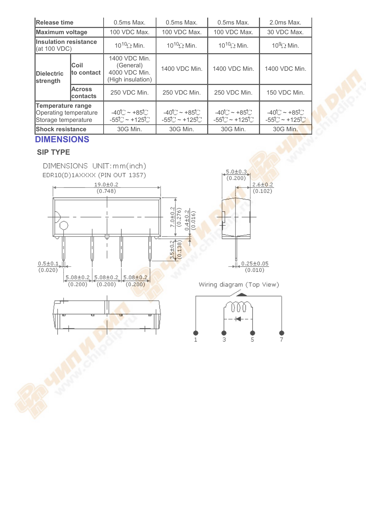| Release time                                                             |                           | 0.5ms Max.                                                        | $0.5ms$ Max.                                     | 0.5ms Max.                                   | 2.0ms Max.                                                         |
|--------------------------------------------------------------------------|---------------------------|-------------------------------------------------------------------|--------------------------------------------------|----------------------------------------------|--------------------------------------------------------------------|
| Maximum voltage                                                          |                           | 100 VDC Max.                                                      | 100 VDC Max.                                     | 100 VDC Max.                                 | 30 VDC Max.                                                        |
| <b>Insulation resistance</b><br> (at 100 VDC)                            |                           | $10^{10}$ $\Omega$ Min.                                           | $10^{10}$ $\Omega$ Min.                          | $10^{10}$ $\Omega$ Min.                      | $10^9$ $\Omega$ Min.                                               |
| <b>IDielectric</b><br>strength                                           | Coil<br>lto contact       | 1400 VDC Min.<br>(General)<br>4000 VDC Min.<br>(High insulation)  | 1400 VDC Min.                                    | 1400 VDC Min.                                | 1400 VDC Min.                                                      |
|                                                                          | <b>Across</b><br>contacts | 250 VDC Min.                                                      | 250 VDC Min.                                     | 250 VDC Min.                                 | 150 VDC Min.                                                       |
| <b>Temperature range</b><br>Operating temperature<br>Storage temperature |                           | $-40^\circ$ C ~ +85 $^\circ$ C<br>$-55^\circ$ C ~ +125 $^\circ$ C | $-40^\circ$ C ~ +85 $^\circ$ C<br>$-55C - +125C$ | -40℃~+85℃<br>$-55^\circ$ C ~ +125 $^\circ$ C | $-40^\circ$ C ~ +85 $\circ$ C<br>$-55^\circ$ C ~ +125 $^{\circ}$ C |
| <b>Shock resistance</b>                                                  |                           | 30G Min.                                                          | 30G Min.                                         | 30G Min.                                     | 30G Min.                                                           |

## **DIMENSIONS**

### **SIP TYPE**

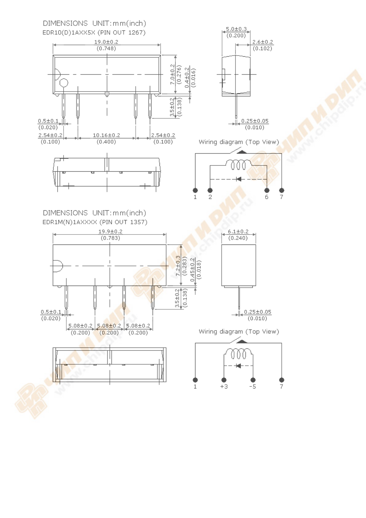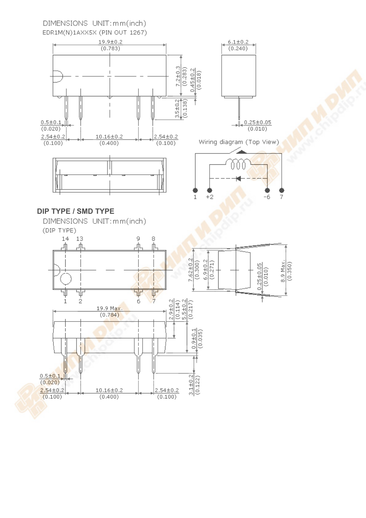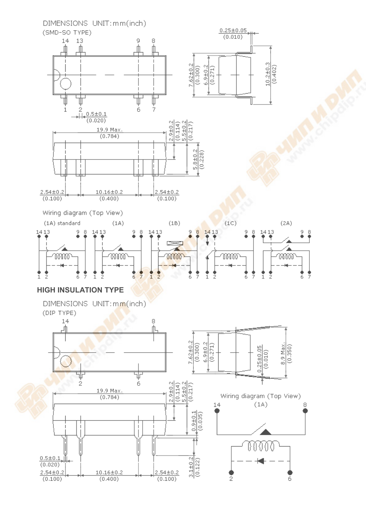

 $(0.100)$ 

6

2

 $(0.100)$ 

 $(0.400)$